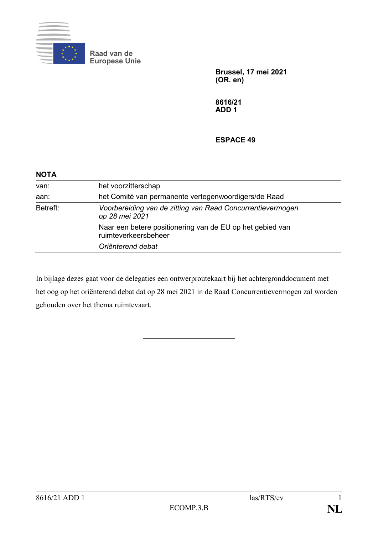

**Raad van de Europese Unie**

> **Brussel, 17 mei 2021 (OR. en)**

**8616/21 ADD 1**

**ESPACE 49**

| <b>NOTA</b> |                                                                                   |  |
|-------------|-----------------------------------------------------------------------------------|--|
| van:        | het voorzitterschap                                                               |  |
| aan:        | het Comité van permanente vertegenwoordigers/de Raad                              |  |
| Betreft:    | Voorbereiding van de zitting van Raad Concurrentievermogen<br>op 28 mei 2021      |  |
|             | Naar een betere positionering van de EU op het gebied van<br>ruimteverkeersbeheer |  |
|             | Oriënterend debat                                                                 |  |

In bijlage dezes gaat voor de delegaties een ontwerproutekaart bij het achtergronddocument met het oog op het oriënterend debat dat op 28 mei 2021 in de Raad Concurrentievermogen zal worden gehouden over het thema ruimtevaart.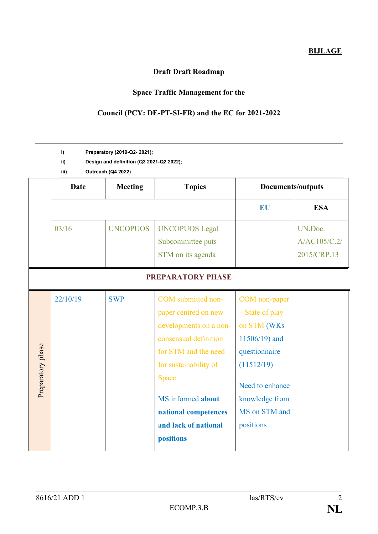#### **BIJLAGE**

# **Draft Draft Roadmap**

# **Space Traffic Management for the**

# **Council (PCY: DE-PT-SI-FR) and the EC for 2021-2022**

|                   | i)<br>ii)<br>iii) | Preparatory (2019-Q2-2021);<br>Design and definition (Q3 2021-Q2 2022);<br>Outreach (Q4 2022) |                                                                                                                                                                                                                                            |                                                                                                                                                                    |                                        |
|-------------------|-------------------|-----------------------------------------------------------------------------------------------|--------------------------------------------------------------------------------------------------------------------------------------------------------------------------------------------------------------------------------------------|--------------------------------------------------------------------------------------------------------------------------------------------------------------------|----------------------------------------|
|                   | <b>Date</b>       | <b>Meeting</b>                                                                                | <b>Topics</b>                                                                                                                                                                                                                              | <b>Documents/outputs</b>                                                                                                                                           |                                        |
|                   |                   |                                                                                               |                                                                                                                                                                                                                                            | EU                                                                                                                                                                 | <b>ESA</b>                             |
|                   | 03/16             | <b>UNCOPUOS</b>                                                                               | <b>UNCOPUOS Legal</b><br>Subcommittee puts<br>STM on its agenda                                                                                                                                                                            |                                                                                                                                                                    | UN.Doc.<br>A/AC105/C.2/<br>2015/CRP.13 |
|                   |                   |                                                                                               | <b>PREPARATORY PHASE</b>                                                                                                                                                                                                                   |                                                                                                                                                                    |                                        |
| Preparatory phase | 22/10/19          | <b>SWP</b>                                                                                    | COM submitted non-<br>paper centred on new<br>developments on a non-<br>consensual definition<br>for STM and the need<br>for sustainability of<br>Space.<br>MS informed about<br>national competences<br>and lack of national<br>positions | COM non-paper<br>- State of play<br>on STM (WKs<br>11506/19) and<br>questionnaire<br>(11512/19)<br>Need to enhance<br>knowledge from<br>MS on STM and<br>positions |                                        |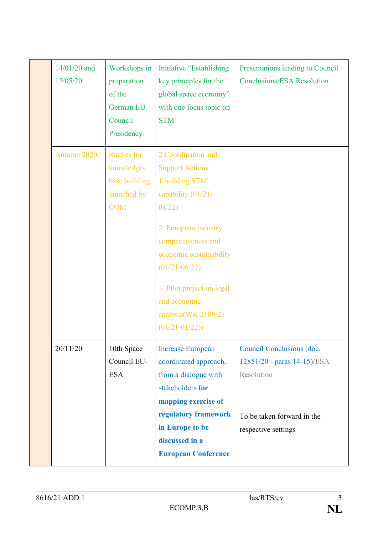| 14/01/20 and<br>12/05/20 | Workshops in<br>preparation<br>of the<br>German EU<br>Council<br>Presidency    | Initiative "Establishing<br>key principles for the<br>global space economy"<br>with one focus topic on<br><b>STM</b>                                                                                                                                                                     | Presentations leading to Council<br><b>Conclusions/ESA Resolution</b>                                                       |
|--------------------------|--------------------------------------------------------------------------------|------------------------------------------------------------------------------------------------------------------------------------------------------------------------------------------------------------------------------------------------------------------------------------------|-----------------------------------------------------------------------------------------------------------------------------|
| Autumn 2020              | <b>Studies for</b><br>knowledge-<br>base building<br>launched by<br><b>COM</b> | 2 Coordination and<br><b>Support Actions</b><br>1.building STM<br>capability.(01/21-<br>08/22)<br>2. European industry<br>competitiveness and<br>economic sustainability<br>$(01/21 - 06/22),$<br>3. Pilot project on legal<br>and economic<br>analysis(WK 2189/21<br>$(01/21 - 01/22))$ |                                                                                                                             |
| 20/11/20                 | 10th Space<br>Council EU-<br><b>ESA</b>                                        | <b>Increase European</b><br>coordinated approach,<br>from a dialogue with<br>stakeholders for<br>mapping exercise of<br>regulatory framework<br>in Europe to be<br>discussed in a<br><b>European Conference</b>                                                                          | Council Conclusions (doc.<br>12851/20 - paras 14-15)/ESA<br>Resolution<br>To be taken forward in the<br>respective settings |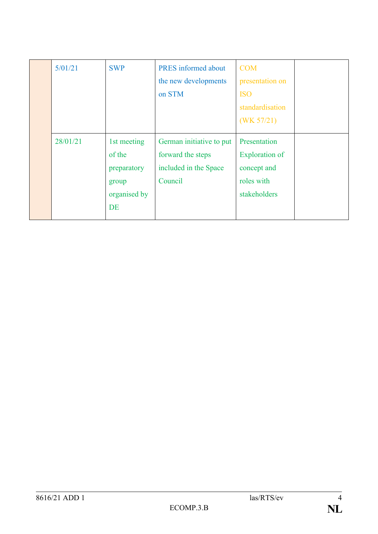| 5/01/21  | <b>SWP</b>                                                          | <b>PRES</b> informed about<br>the new developments<br>on STM                      | <b>COM</b><br>presentation on<br><b>ISO</b><br>standardisation<br>(WK 57/21)       |  |
|----------|---------------------------------------------------------------------|-----------------------------------------------------------------------------------|------------------------------------------------------------------------------------|--|
| 28/01/21 | 1st meeting<br>of the<br>preparatory<br>group<br>organised by<br>DE | German initiative to put<br>forward the steps<br>included in the Space<br>Council | Presentation<br><b>Exploration of</b><br>concept and<br>roles with<br>stakeholders |  |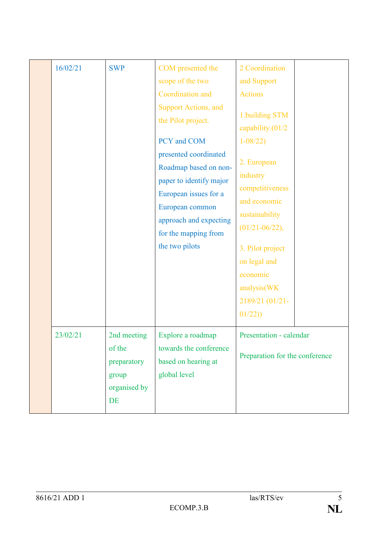| 16/02/21 | <b>SWP</b>                                                          | COM presented the<br>scope of the two<br>Coordination and<br><b>Support Actions, and</b><br>the Pilot project.<br>PCY and COM<br>presented coordinated<br>Roadmap based on non-<br>paper to identify major<br>European issues for a<br>European common<br>approach and expecting<br>for the mapping from<br>the two pilots | 2 Coordination<br>and Support<br><b>Actions</b><br>1.building STM<br>capability.(01/2<br>$1 - 08/22$<br>2. European<br>industry<br>competitiveness<br>and economic<br>sustainability<br>$(01/21 - 06/22),$<br>3. Pilot project<br>on legal and<br>economic<br>analysis(WK<br>2189/21 (01/21-<br>01/22) |
|----------|---------------------------------------------------------------------|----------------------------------------------------------------------------------------------------------------------------------------------------------------------------------------------------------------------------------------------------------------------------------------------------------------------------|--------------------------------------------------------------------------------------------------------------------------------------------------------------------------------------------------------------------------------------------------------------------------------------------------------|
| 23/02/21 | 2nd meeting<br>of the<br>preparatory<br>group<br>organised by<br>DE | Explore a roadmap<br>towards the conference<br>based on hearing at<br>global level                                                                                                                                                                                                                                         | Presentation - calendar<br>Preparation for the conference                                                                                                                                                                                                                                              |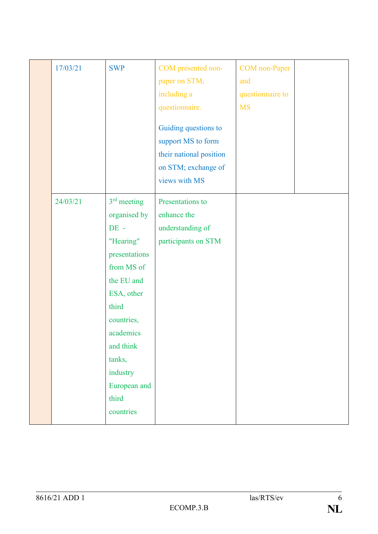| 17/03/21          | <b>SWP</b>                                                                                                                                                                                                          | COM presented non-<br>paper on STM,<br>including a<br>questionnaire.<br>Guiding questions to<br>support MS to form<br>their national position | <b>COM</b> non-Paper<br>and<br>questionnaire to<br><b>MS</b> |  |
|-------------------|---------------------------------------------------------------------------------------------------------------------------------------------------------------------------------------------------------------------|-----------------------------------------------------------------------------------------------------------------------------------------------|--------------------------------------------------------------|--|
|                   |                                                                                                                                                                                                                     | on STM; exchange of<br>views with MS                                                                                                          |                                                              |  |
|                   |                                                                                                                                                                                                                     |                                                                                                                                               |                                                              |  |
| 24/03/21<br>third | $3rd$ meeting<br>organised by<br>$DE -$<br>"Hearing"<br>presentations<br>from MS of<br>the EU and<br>ESA, other<br>countries,<br>academics<br>and think<br>tanks,<br>industry<br>European and<br>third<br>countries | Presentations to<br>enhance the<br>understanding of<br>participants on STM                                                                    |                                                              |  |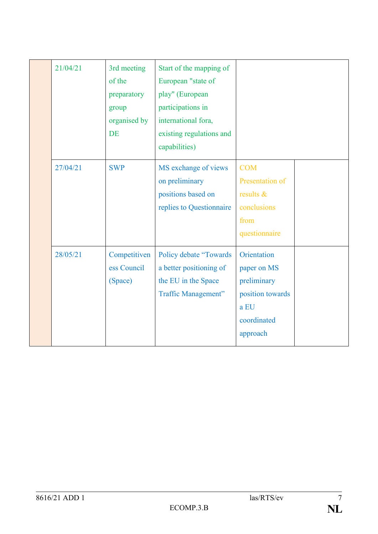| 21/04/21 | 3rd meeting<br>of the<br>preparatory<br>group<br>organised by<br><b>DE</b> | Start of the mapping of<br>European "state of<br>play" (European<br>participations in<br>international fora,<br>existing regulations and<br>capabilities) |                                                                                                  |  |
|----------|----------------------------------------------------------------------------|-----------------------------------------------------------------------------------------------------------------------------------------------------------|--------------------------------------------------------------------------------------------------|--|
| 27/04/21 | <b>SWP</b>                                                                 | MS exchange of views<br>on preliminary<br>positions based on<br>replies to Questionnaire                                                                  | <b>COM</b><br>Presentation of<br>results &<br>conclusions<br>from<br>questionnaire               |  |
| 28/05/21 | Competitiven<br>ess Council<br>(Space)                                     | <b>Policy debate "Towards</b><br>a better positioning of<br>the EU in the Space<br><b>Traffic Management</b> "                                            | Orientation<br>paper on MS<br>preliminary<br>position towards<br>a EU<br>coordinated<br>approach |  |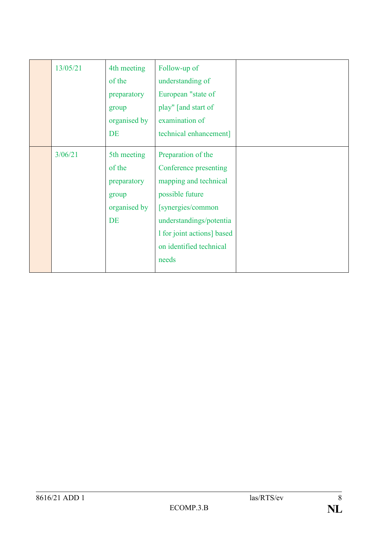| 13/05/21 | 4th meeting<br>of the<br>preparatory<br>group<br>organised by<br>DE | Follow-up of<br>understanding of<br>European "state of<br>play" [and start of<br>examination of<br>technical enhancement]                                                                                 |  |
|----------|---------------------------------------------------------------------|-----------------------------------------------------------------------------------------------------------------------------------------------------------------------------------------------------------|--|
| 3/06/21  | 5th meeting<br>of the<br>preparatory<br>group<br>organised by<br>DE | Preparation of the<br>Conference presenting<br>mapping and technical<br>possible future<br>[synergies/common<br>understandings/potentia<br>1 for joint actions] based<br>on identified technical<br>needs |  |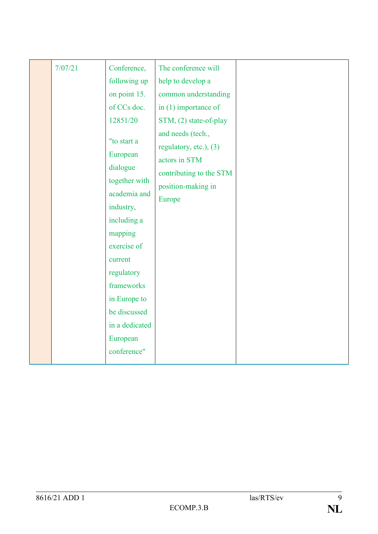| 7/07/21 | Conference,<br>following up<br>on point 15.<br>of CCs doc.<br>12851/20<br>"to start a<br>European<br>dialogue<br>together with<br>academia and<br>industry,<br>including a<br>mapping<br>exercise of<br>current<br>regulatory<br>frameworks<br>in Europe to<br>be discussed<br>in a dedicated<br>European<br>conference" | The conference will<br>help to develop a<br>common understanding<br>in $(1)$ importance of<br>STM, (2) state-of-play<br>and needs (tech.,<br>regulatory, etc.), (3)<br>actors in STM<br>contributing to the STM<br>position-making in<br>Europe |  |
|---------|--------------------------------------------------------------------------------------------------------------------------------------------------------------------------------------------------------------------------------------------------------------------------------------------------------------------------|-------------------------------------------------------------------------------------------------------------------------------------------------------------------------------------------------------------------------------------------------|--|
|---------|--------------------------------------------------------------------------------------------------------------------------------------------------------------------------------------------------------------------------------------------------------------------------------------------------------------------------|-------------------------------------------------------------------------------------------------------------------------------------------------------------------------------------------------------------------------------------------------|--|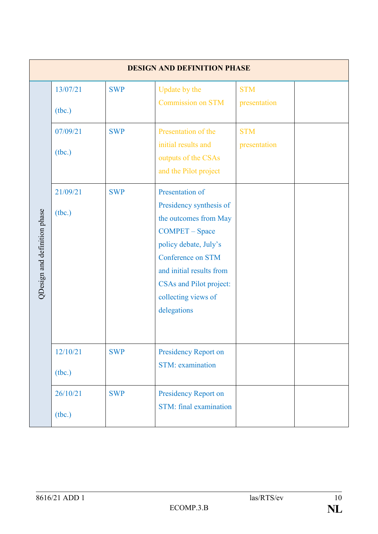|                              |                    |            | <b>DESIGN AND DEFINITION PHASE</b>                                                                                                                                                                                                             |                            |
|------------------------------|--------------------|------------|------------------------------------------------------------------------------------------------------------------------------------------------------------------------------------------------------------------------------------------------|----------------------------|
|                              | 13/07/21<br>(tbc.) | <b>SWP</b> | Update by the<br><b>Commission on STM</b>                                                                                                                                                                                                      | <b>STM</b><br>presentation |
|                              | 07/09/21<br>(tbc.) | <b>SWP</b> | Presentation of the<br>initial results and<br>outputs of the CSAs<br>and the Pilot project                                                                                                                                                     | <b>STM</b><br>presentation |
| ODesign and definition phase | 21/09/21<br>(tbc.) | <b>SWP</b> | Presentation of<br>Presidency synthesis of<br>the outcomes from May<br>COMPET - Space<br>policy debate, July's<br><b>Conference on STM</b><br>and initial results from<br><b>CSAs and Pilot project:</b><br>collecting views of<br>delegations |                            |
|                              | 12/10/21<br>(tbc.) | <b>SWP</b> | Presidency Report on<br>STM: examination                                                                                                                                                                                                       |                            |
|                              | 26/10/21<br>(tbc.) | <b>SWP</b> | Presidency Report on<br>STM: final examination                                                                                                                                                                                                 |                            |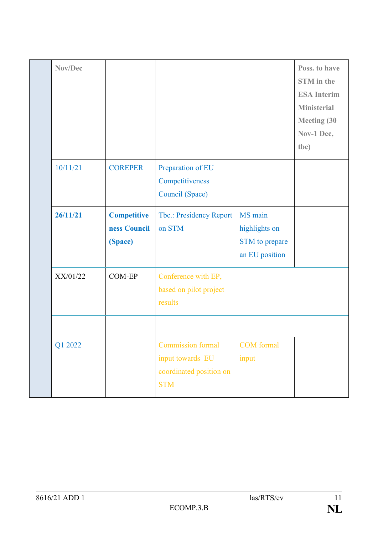| Nov/Dec  |                                               |                                                                                       |                                                              | Poss. to have<br><b>STM</b> in the<br><b>ESA Interim</b><br><b>Ministerial</b><br><b>Meeting (30)</b><br>Nov-1 Dec,<br>tbc) |
|----------|-----------------------------------------------|---------------------------------------------------------------------------------------|--------------------------------------------------------------|-----------------------------------------------------------------------------------------------------------------------------|
| 10/11/21 | <b>COREPER</b>                                | Preparation of EU<br>Competitiveness<br>Council (Space)                               |                                                              |                                                                                                                             |
| 26/11/21 | <b>Competitive</b><br>ness Council<br>(Space) | Tbc.: Presidency Report<br>on STM                                                     | MS main<br>highlights on<br>STM to prepare<br>an EU position |                                                                                                                             |
| XX/01/22 | COM-EP                                        | Conference with EP,<br>based on pilot project<br>results                              |                                                              |                                                                                                                             |
|          |                                               |                                                                                       |                                                              |                                                                                                                             |
| Q1 2022  |                                               | <b>Commission formal</b><br>input towards EU<br>coordinated position on<br><b>STM</b> | <b>COM</b> formal<br>input                                   |                                                                                                                             |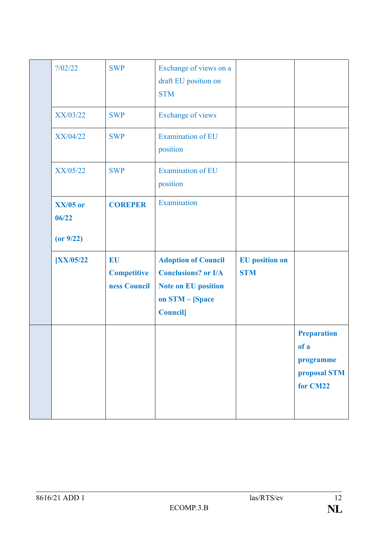| ? / 02 / 22         | <b>SWP</b>                               | Exchange of views on a<br>draft EU position on<br><b>STM</b>                                                                 |                                     |  |
|---------------------|------------------------------------------|------------------------------------------------------------------------------------------------------------------------------|-------------------------------------|--|
| XX/03/22            | <b>SWP</b>                               | <b>Exchange of views</b>                                                                                                     |                                     |  |
| XX/04/22            | <b>SWP</b>                               | <b>Examination of EU</b><br>position                                                                                         |                                     |  |
| XX/05/22            | <b>SWP</b>                               | <b>Examination of EU</b><br>position                                                                                         |                                     |  |
| $XX/05$ or<br>06/22 | <b>COREPER</b>                           | Examination                                                                                                                  |                                     |  |
| (or 9/22)           |                                          |                                                                                                                              |                                     |  |
| <b>XX/05/22</b>     | EU<br><b>Competitive</b><br>ness Council | <b>Adoption of Council</b><br><b>Conclusions?</b> or I/A<br><b>Note on EU position</b><br>on STM - [Space<br><b>Council]</b> | <b>EU</b> position on<br><b>STM</b> |  |